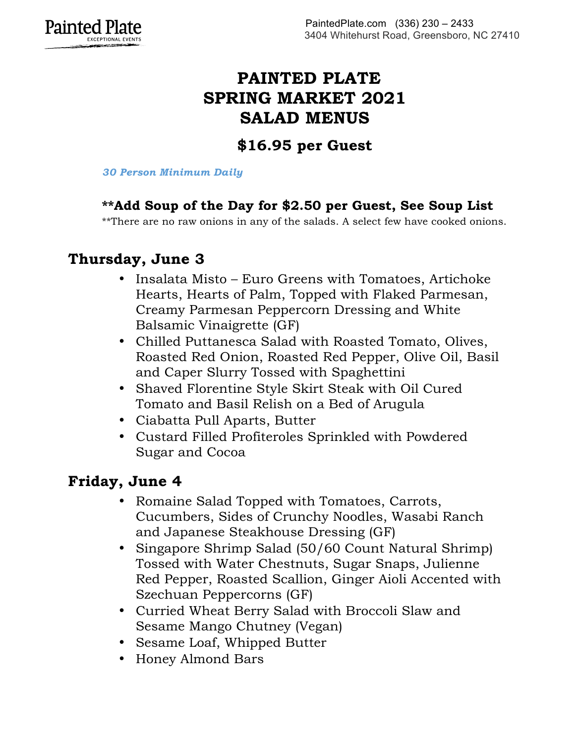# **PAINTED PLATE SPRING MARKET 2021 SALAD MENUS**

### **\$16.95 per Guest**

*30 Person Minimum Daily*

#### **\*\*Add Soup of the Day for \$2.50 per Guest, See Soup List**

\*\*There are no raw onions in any of the salads. A select few have cooked onions.

#### **Thursday, June 3**

- Insalata Misto Euro Greens with Tomatoes, Artichoke Hearts, Hearts of Palm, Topped with Flaked Parmesan, Creamy Parmesan Peppercorn Dressing and White Balsamic Vinaigrette (GF)
- Chilled Puttanesca Salad with Roasted Tomato, Olives, Roasted Red Onion, Roasted Red Pepper, Olive Oil, Basil and Caper Slurry Tossed with Spaghettini
- Shaved Florentine Style Skirt Steak with Oil Cured Tomato and Basil Relish on a Bed of Arugula
- Ciabatta Pull Aparts, Butter
- Custard Filled Profiteroles Sprinkled with Powdered Sugar and Cocoa

#### **Friday, June 4**

- Romaine Salad Topped with Tomatoes, Carrots, Cucumbers, Sides of Crunchy Noodles, Wasabi Ranch and Japanese Steakhouse Dressing (GF)
- Singapore Shrimp Salad (50/60 Count Natural Shrimp) Tossed with Water Chestnuts, Sugar Snaps, Julienne Red Pepper, Roasted Scallion, Ginger Aioli Accented with Szechuan Peppercorns (GF)
- Curried Wheat Berry Salad with Broccoli Slaw and Sesame Mango Chutney (Vegan)
- Sesame Loaf, Whipped Butter
- Honey Almond Bars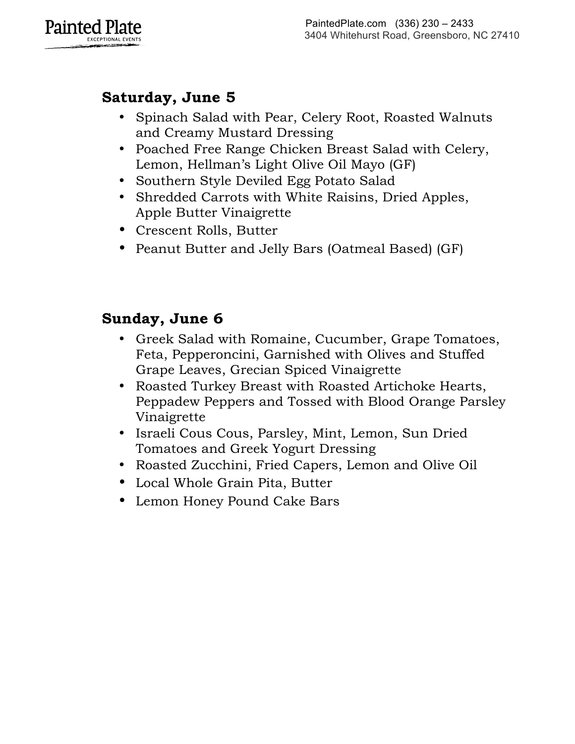

# **Saturday, June 5**

- Spinach Salad with Pear, Celery Root, Roasted Walnuts and Creamy Mustard Dressing
- Poached Free Range Chicken Breast Salad with Celery, Lemon, Hellman's Light Olive Oil Mayo (GF)
- Southern Style Deviled Egg Potato Salad
- Shredded Carrots with White Raisins, Dried Apples, Apple Butter Vinaigrette
- Crescent Rolls, Butter
- Peanut Butter and Jelly Bars (Oatmeal Based) (GF)

## **Sunday, June 6**

- Greek Salad with Romaine, Cucumber, Grape Tomatoes, Feta, Pepperoncini, Garnished with Olives and Stuffed Grape Leaves, Grecian Spiced Vinaigrette
- Roasted Turkey Breast with Roasted Artichoke Hearts, Peppadew Peppers and Tossed with Blood Orange Parsley Vinaigrette
- Israeli Cous Cous, Parsley, Mint, Lemon, Sun Dried Tomatoes and Greek Yogurt Dressing
- Roasted Zucchini, Fried Capers, Lemon and Olive Oil
- Local Whole Grain Pita, Butter
- Lemon Honey Pound Cake Bars